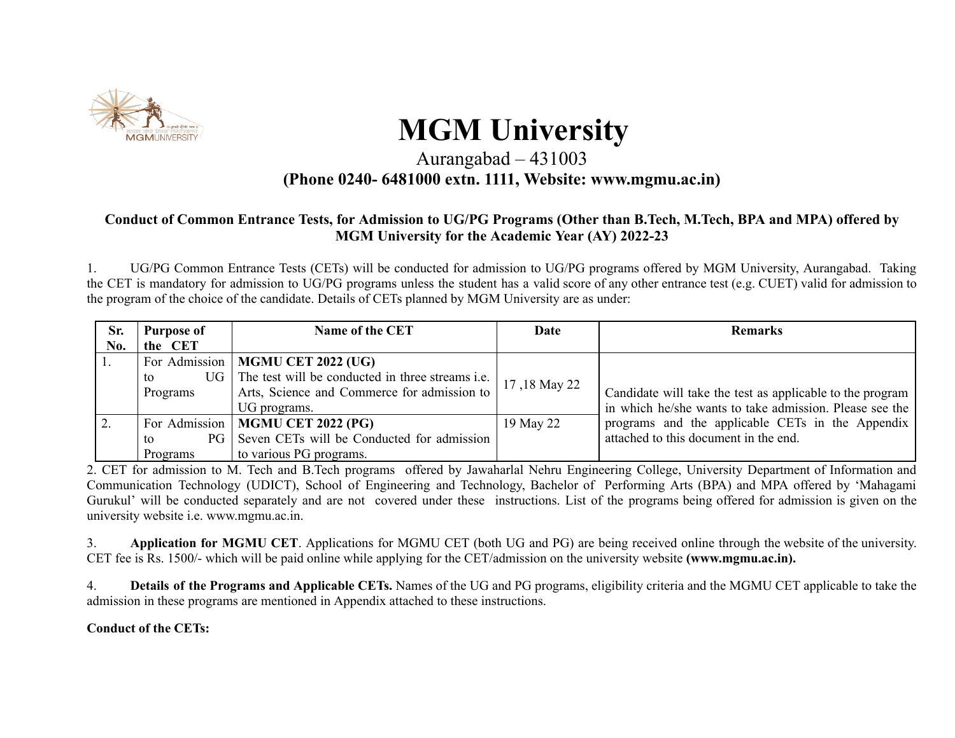

# **MGM University**

#### Aurangabad – 431003 **(Phone 0240- 6481000 extn. 1111, Website: www.mgmu.ac.in)**

#### **Conduct of Common Entrance Tests, for Admission to UG/PG Programs (Other than B.Tech, M.Tech, BPA and MPA) offered by MGM University for the Academic Year (AY) 2022-23**

1. UG/PG Common Entrance Tests (CETs) will be conducted for admission to UG/PG programs offered by MGM University, Aurangabad. Taking the CET is mandatory for admission to UG/PG programs unless the student has a valid score of any other entrance test (e.g. CUET) valid for admission to the program of the choice of the candidate. Details of CETs planned by MGM University are as under:

| Sr. | <b>Purpose of</b> | Name of the CET                                            | Date         | <b>Remarks</b>                                            |
|-----|-------------------|------------------------------------------------------------|--------------|-----------------------------------------------------------|
| No. | the CET           |                                                            |              |                                                           |
| 1.  |                   | For Admission   MGMU CET 2022 (UG)                         |              |                                                           |
|     | to                | UG The test will be conducted in three streams <i>i.e.</i> |              |                                                           |
|     | Programs          | Arts, Science and Commerce for admission to                | 17,18 May 22 | Candidate will take the test as applicable to the program |
|     |                   | UG programs.                                               |              | in which he/she wants to take admission. Please see the   |
| 2.  |                   | For Admission   MGMU CET 2022 (PG)                         | 19 May 22    | programs and the applicable CETs in the Appendix          |
|     | to                | PG Seven CETs will be Conducted for admission              |              | attached to this document in the end.                     |
|     | Programs          | to various PG programs.                                    |              |                                                           |

2. CET for admission to M. Tech and B.Tech programs offered by Jawaharlal Nehru Engineering College, University Department of Information and Communication Technology (UDICT), School of Engineering and Technology, Bachelor of Performing Arts (BPA) and MPA offered by 'Mahagami Gurukul' will be conducted separately and are not covered under these instructions. List of the programs being offered for admission is given on the university website i.e. www.mgmu.ac.in.

3. **Application for MGMU CET**. Applications for MGMU CET (both UG and PG) are being received online through the website of the university. CET fee is Rs. 1500/- which will be paid online while applying for the CET/admission on the university website **(www.mgmu.ac.in).**

4. **Details of the Programs and Applicable CETs.** Names of the UG and PG programs, eligibility criteria and the MGMU CET applicable to take the admission in these programs are mentioned in Appendix attached to these instructions.

**Conduct of the CETs:**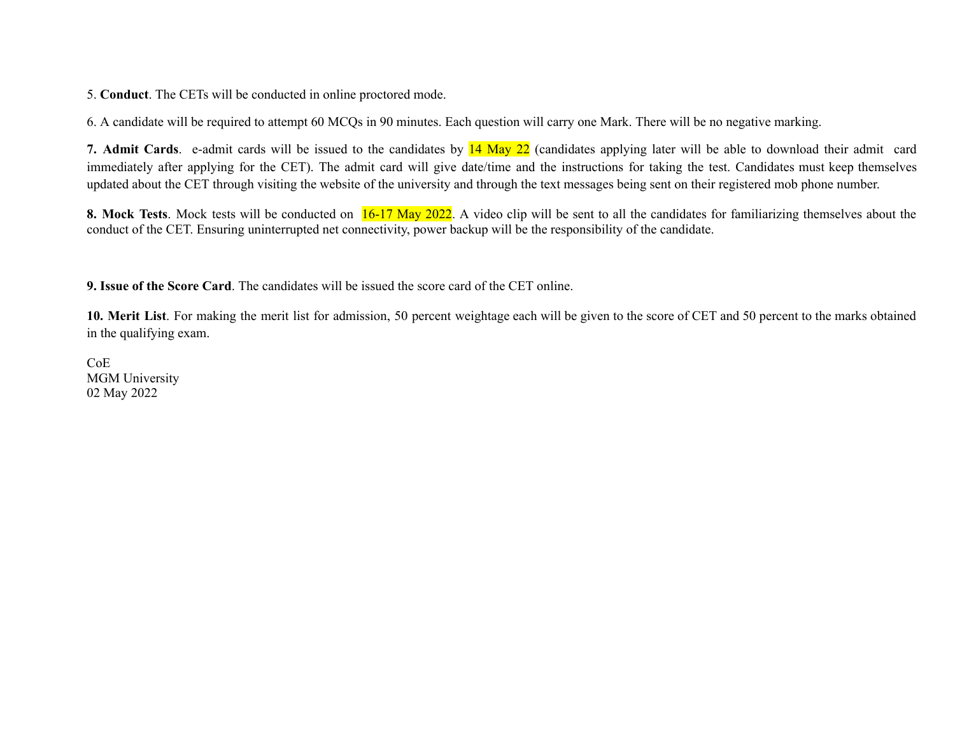5. **Conduct**. The CETs will be conducted in online proctored mode.

6. A candidate will be required to attempt 60 MCQs in 90 minutes. Each question will carry one Mark. There will be no negative marking.

**7. Admit Cards**. e-admit cards will be issued to the candidates by 14 May 22 (candidates applying later will be able to download their admit card immediately after applying for the CET). The admit card will give date/time and the instructions for taking the test. Candidates must keep themselves updated about the CET through visiting the website of the university and through the text messages being sent on their registered mob phone number.

**8.** Mock Tests. Mock tests will be conducted on  $16-17$  May 2022. A video clip will be sent to all the candidates for familiarizing themselves about the conduct of the CET. Ensuring uninterrupted net connectivity, power backup will be the responsibility of the candidate.

**9. Issue of the Score Card**. The candidates will be issued the score card of the CET online.

**10. Merit List**. For making the merit list for admission, 50 percent weightage each will be given to the score of CET and 50 percent to the marks obtained in the qualifying exam.

CoE MGM University 02 May 2022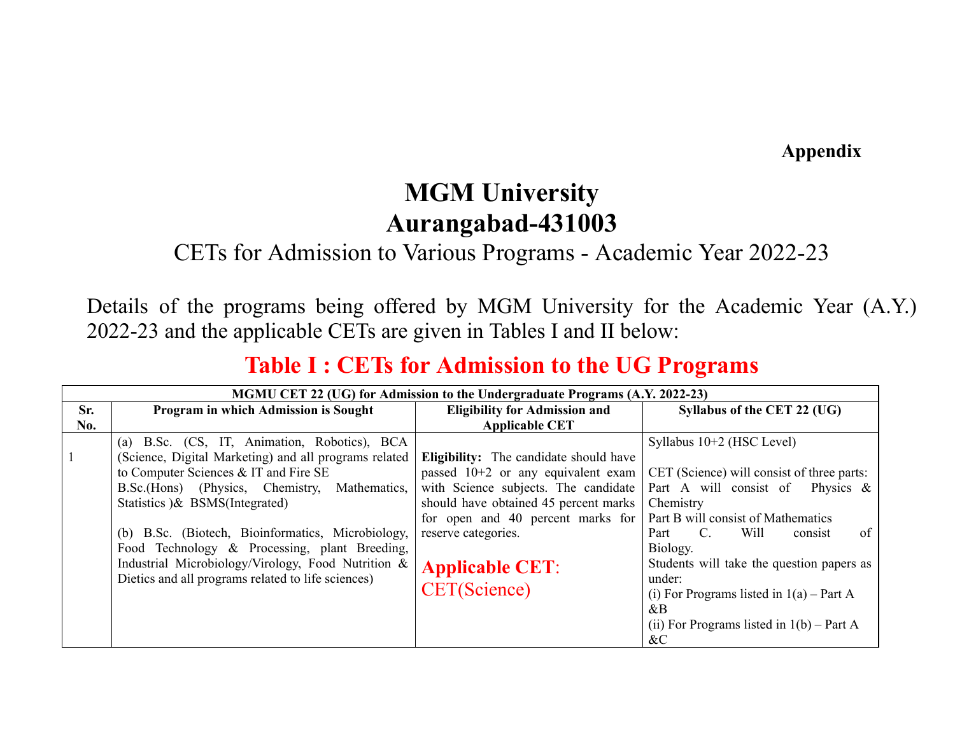**Appendix**

### **MGM University Aurangabad-431003**

#### CETs for Admission to Various Programs - Academic Year 2022-23

Details of the programs being offered by MGM University for the Academic Year (A.Y.) 2022-23 and the applicable CETs are given in Tables I and II below:

#### **Table I : CETs for Admission to the UG Programs**

|     | MGMU CET 22 (UG) for Admission to the Undergraduate Programs (A.Y. 2022-23)                                                                                                                                                                                                                                                                                                                                                                          |                                                                                                                                                                                                                                    |                                                                                                                                                                                                                     |  |  |
|-----|------------------------------------------------------------------------------------------------------------------------------------------------------------------------------------------------------------------------------------------------------------------------------------------------------------------------------------------------------------------------------------------------------------------------------------------------------|------------------------------------------------------------------------------------------------------------------------------------------------------------------------------------------------------------------------------------|---------------------------------------------------------------------------------------------------------------------------------------------------------------------------------------------------------------------|--|--|
| Sr. | Program in which Admission is Sought                                                                                                                                                                                                                                                                                                                                                                                                                 | <b>Eligibility for Admission and</b>                                                                                                                                                                                               | Syllabus of the CET 22 (UG)                                                                                                                                                                                         |  |  |
| No. |                                                                                                                                                                                                                                                                                                                                                                                                                                                      | <b>Applicable CET</b>                                                                                                                                                                                                              |                                                                                                                                                                                                                     |  |  |
|     | (a) B.Sc. (CS, IT, Animation, Robotics), BCA<br>(Science, Digital Marketing) and all programs related<br>to Computer Sciences & IT and Fire SE<br>B.Sc.(Hons) (Physics, Chemistry, Mathematics,<br>Statistics ) & BSMS(Integrated)<br>(b) B.Sc. (Biotech, Bioinformatics, Microbiology,<br>Food Technology & Processing, plant Breeding,<br>Industrial Microbiology/Virology, Food Nutrition &<br>Dietics and all programs related to life sciences) | <b>Eligibility:</b> The candidate should have<br>passed $10+2$ or any equivalent exam<br>with Science subjects. The candidate<br>should have obtained 45 percent marks<br>for open and 40 percent marks for<br>reserve categories. | Syllabus $10+2$ (HSC Level)<br>CET (Science) will consist of three parts:<br>Part A will consist of Physics $\&$<br>Chemistry<br>Part B will consist of Mathematics<br>of<br>Will<br>$C_{\cdot}$<br>Part<br>consist |  |  |
|     |                                                                                                                                                                                                                                                                                                                                                                                                                                                      | <b>Applicable CET:</b><br><b>CET(Science)</b>                                                                                                                                                                                      | Biology.<br>Students will take the question papers as<br>under:<br>(i) For Programs listed in $1(a)$ – Part A<br>$\&B$<br>(ii) For Programs listed in $1(b)$ – Part A<br>$\&C$                                      |  |  |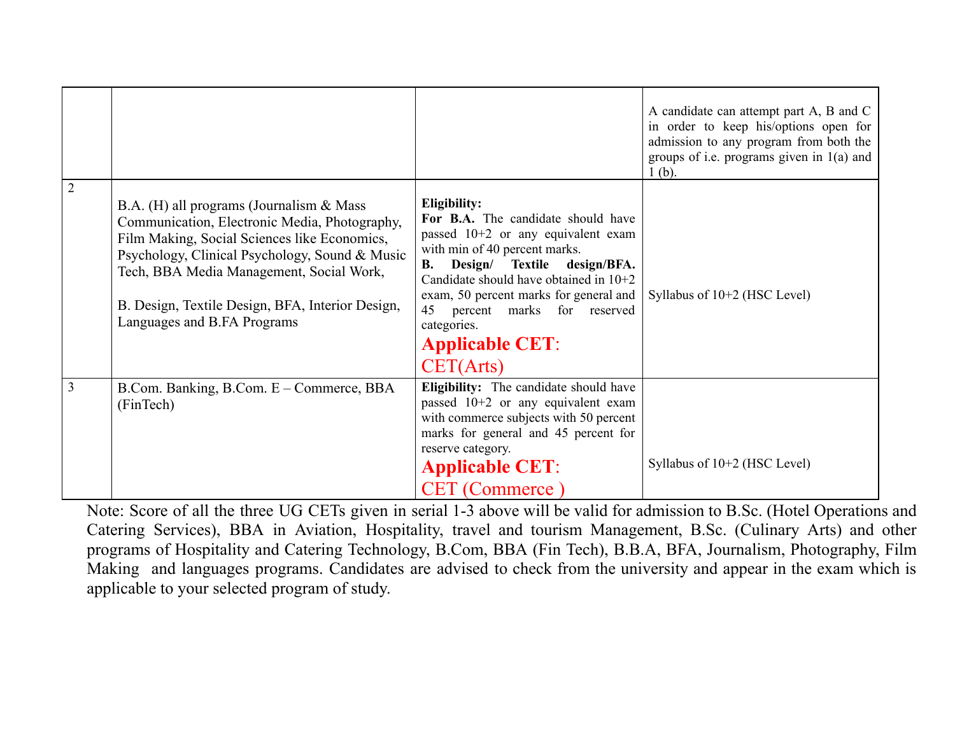|                  |                                                                                                                                                                                                                                                                                                                            |                                                                                                                                                                                                                                                                                                                                                | A candidate can attempt part A, B and C<br>in order to keep his/options open for<br>admission to any program from both the<br>groups of i.e. programs given in $1(a)$ and<br>$1(b)$ . |
|------------------|----------------------------------------------------------------------------------------------------------------------------------------------------------------------------------------------------------------------------------------------------------------------------------------------------------------------------|------------------------------------------------------------------------------------------------------------------------------------------------------------------------------------------------------------------------------------------------------------------------------------------------------------------------------------------------|---------------------------------------------------------------------------------------------------------------------------------------------------------------------------------------|
| $\boldsymbol{2}$ | B.A. (H) all programs (Journalism & Mass<br>Communication, Electronic Media, Photography,<br>Film Making, Social Sciences like Economics,<br>Psychology, Clinical Psychology, Sound & Music<br>Tech, BBA Media Management, Social Work,<br>B. Design, Textile Design, BFA, Interior Design,<br>Languages and B.FA Programs | Eligibility:<br>For B.A. The candidate should have<br>passed $10+2$ or any equivalent exam<br>with min of 40 percent marks.<br>Design/ Textile design/BFA.<br>В.<br>Candidate should have obtained in 10+2<br>exam, 50 percent marks for general and<br>percent marks for reserved<br>45<br>categories.<br><b>Applicable CET:</b><br>CET(Arts) | Syllabus of $10+2$ (HSC Level)                                                                                                                                                        |
| 3                | B.Com. Banking, B.Com. E – Commerce, BBA<br>(FinTech)                                                                                                                                                                                                                                                                      | Eligibility: The candidate should have<br>passed 10+2 or any equivalent exam<br>with commerce subjects with 50 percent<br>marks for general and 45 percent for<br>reserve category.<br><b>Applicable CET:</b><br><b>CET</b> (Commerce)                                                                                                         | Syllabus of $10+2$ (HSC Level)                                                                                                                                                        |

Note: Score of all the three UG CETs given in serial 1-3 above will be valid for admission to B.Sc. (Hotel Operations and Catering Services), BBA in Aviation, Hospitality, travel and tourism Management, B.Sc. (Culinary Arts) and other programs of Hospitality and Catering Technology, B.Com, BBA (Fin Tech), B.B.A, BFA, Journalism, Photography, Film Making and languages programs. Candidates are advised to check from the university and appear in the exam which is applicable to your selected program of study.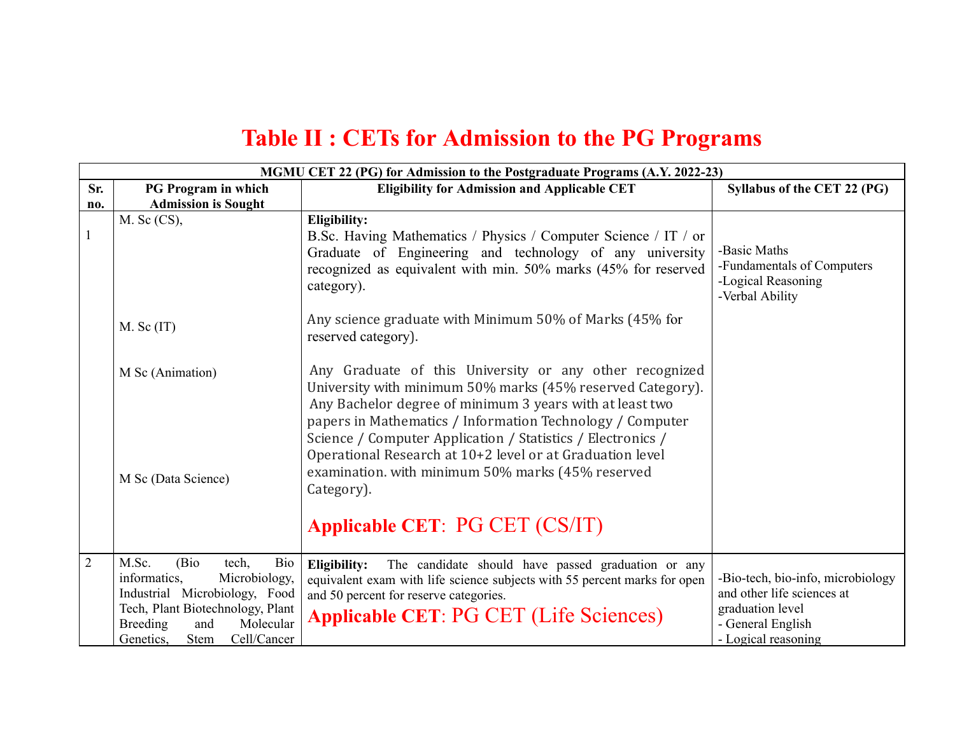## **Table II : CETs for Admission to the PG Programs**

|                | MGMU CET 22 (PG) for Admission to the Postgraduate Programs (A.Y. 2022-23)                                                                                                                                                                                  |                                                                                                                                                                                                                                                |                                                                                     |  |
|----------------|-------------------------------------------------------------------------------------------------------------------------------------------------------------------------------------------------------------------------------------------------------------|------------------------------------------------------------------------------------------------------------------------------------------------------------------------------------------------------------------------------------------------|-------------------------------------------------------------------------------------|--|
| Sr.            | PG Program in which                                                                                                                                                                                                                                         | <b>Eligibility for Admission and Applicable CET</b>                                                                                                                                                                                            | Syllabus of the CET 22 (PG)                                                         |  |
| no.            | <b>Admission is Sought</b>                                                                                                                                                                                                                                  |                                                                                                                                                                                                                                                |                                                                                     |  |
|                | $M.$ Sc $(CS)$ ,                                                                                                                                                                                                                                            | <b>Eligibility:</b>                                                                                                                                                                                                                            |                                                                                     |  |
| $\mathbf{1}$   |                                                                                                                                                                                                                                                             | B.Sc. Having Mathematics / Physics / Computer Science / IT / or<br>Graduate of Engineering and technology of any university<br>recognized as equivalent with min. 50% marks (45% for reserved<br>category).                                    | -Basic Maths<br>-Fundamentals of Computers<br>-Logical Reasoning<br>-Verbal Ability |  |
|                | $M.$ Sc $(IT)$                                                                                                                                                                                                                                              | Any science graduate with Minimum 50% of Marks (45% for<br>reserved category).                                                                                                                                                                 |                                                                                     |  |
|                | M Sc (Animation)                                                                                                                                                                                                                                            | Any Graduate of this University or any other recognized<br>University with minimum 50% marks (45% reserved Category).<br>Any Bachelor degree of minimum 3 years with at least two<br>papers in Mathematics / Information Technology / Computer |                                                                                     |  |
|                | Science / Computer Application / Statistics / Electronics /<br>Operational Research at 10+2 level or at Graduation level<br>examination. with minimum 50% marks (45% reserved<br>M Sc (Data Science)<br>Category).<br><b>Applicable CET: PG CET (CS/IT)</b> |                                                                                                                                                                                                                                                |                                                                                     |  |
| $\overline{2}$ | M.Sc.<br>(Bio)<br>Bio<br>tech,                                                                                                                                                                                                                              |                                                                                                                                                                                                                                                |                                                                                     |  |
|                | informatics,<br>Microbiology,                                                                                                                                                                                                                               | Eligibility:<br>The candidate should have passed graduation or any<br>equivalent exam with life science subjects with 55 percent marks for open                                                                                                | -Bio-tech, bio-info, microbiology                                                   |  |
|                | Industrial Microbiology, Food                                                                                                                                                                                                                               | and 50 percent for reserve categories.                                                                                                                                                                                                         | and other life sciences at                                                          |  |
|                | Tech, Plant Biotechnology, Plant                                                                                                                                                                                                                            |                                                                                                                                                                                                                                                | graduation level                                                                    |  |
|                | Molecular<br><b>Breeding</b><br>and                                                                                                                                                                                                                         | <b>Applicable CET: PG CET (Life Sciences)</b>                                                                                                                                                                                                  | - General English                                                                   |  |
|                | Cell/Cancer<br>Genetics,<br>Stem                                                                                                                                                                                                                            |                                                                                                                                                                                                                                                | - Logical reasoning                                                                 |  |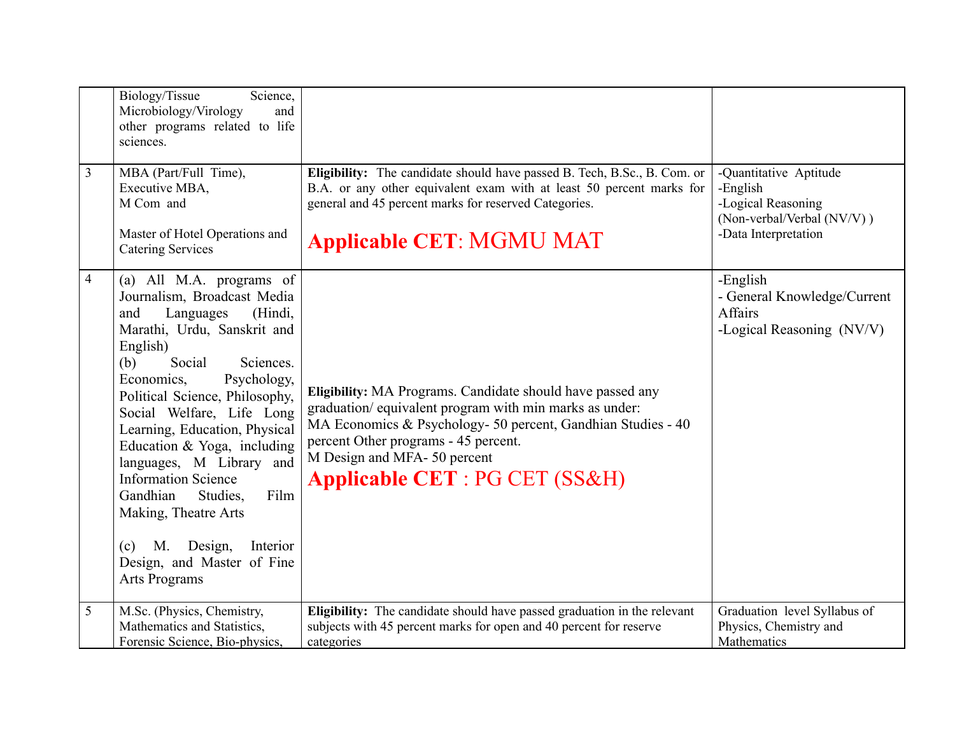| 3              | Biology/Tissue<br>Science,<br>Microbiology/Virology<br>and<br>other programs related to life<br>sciences.<br>MBA (Part/Full Time),<br>Executive MBA,<br>M Com and<br>Master of Hotel Operations and<br><b>Catering Services</b>                                                                                                                                                                                                                                                                                                         | Eligibility: The candidate should have passed B. Tech, B.Sc., B. Com. or<br>B.A. or any other equivalent exam with at least 50 percent marks for<br>general and 45 percent marks for reserved Categories.<br><b>Applicable CET: MGMU MAT</b>                                                            | -Quantitative Aptitude<br>-English<br>-Logical Reasoning<br>(Non-verbal/Verbal (NV/V))<br>-Data Interpretation |
|----------------|-----------------------------------------------------------------------------------------------------------------------------------------------------------------------------------------------------------------------------------------------------------------------------------------------------------------------------------------------------------------------------------------------------------------------------------------------------------------------------------------------------------------------------------------|---------------------------------------------------------------------------------------------------------------------------------------------------------------------------------------------------------------------------------------------------------------------------------------------------------|----------------------------------------------------------------------------------------------------------------|
| $\overline{4}$ | (a) All M.A. programs of<br>Journalism, Broadcast Media<br>(Hindi,<br>Languages<br>and<br>Marathi, Urdu, Sanskrit and<br>English)<br>Social<br>Sciences.<br>(b)<br>Economics,<br>Psychology,<br>Political Science, Philosophy,<br>Social Welfare, Life Long<br>Learning, Education, Physical<br>Education & Yoga, including<br>languages, M Library and<br><b>Information Science</b><br>Gandhian<br>Film<br>Studies.<br>Making, Theatre Arts<br>М.<br>Design,<br>Interior<br>(c)<br>Design, and Master of Fine<br><b>Arts Programs</b> | Eligibility: MA Programs. Candidate should have passed any<br>graduation/equivalent program with min marks as under:<br>MA Economics & Psychology- 50 percent, Gandhian Studies - 40<br>percent Other programs - 45 percent.<br>M Design and MFA-50 percent<br><b>Applicable CET: PG CET (SS&amp;H)</b> | -English<br>- General Knowledge/Current<br>Affairs<br>-Logical Reasoning (NV/V)                                |
| 5              | M.Sc. (Physics, Chemistry,<br>Mathematics and Statistics,<br>Forensic Science, Bio-physics,                                                                                                                                                                                                                                                                                                                                                                                                                                             | Eligibility: The candidate should have passed graduation in the relevant<br>subjects with 45 percent marks for open and 40 percent for reserve<br>categories                                                                                                                                            | Graduation level Syllabus of<br>Physics, Chemistry and<br>Mathematics                                          |